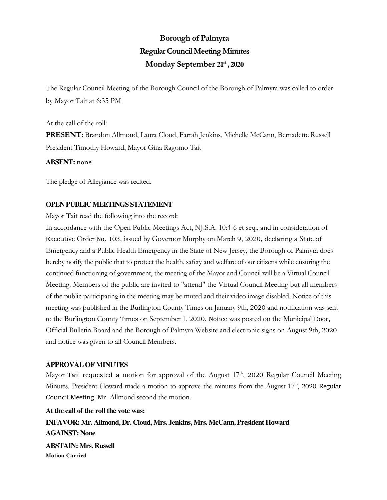# **Borough of Palmyra Regular Council Meeting Minutes Monday September 21st , 2020**

The Regular Council Meeting of the Borough Council of the Borough of Palmyra was called to order by Mayor Tait at 6:35 PM

At the call of the roll: **PRESENT:** Brandon Allmond, Laura Cloud, Farrah Jenkins, Michelle McCann, Bernadette Russell President Timothy Howard, Mayor Gina Ragomo Tait

#### **ABSENT:** none

The pledge of Allegiance was recited.

### **OPEN PUBLIC MEETINGS STATEMENT**

Mayor Tait read the following into the record:

In accordance with the Open Public Meetings Act, NJ.S.A. 10:4-6 et seq., and in consideration of Executive Order No. 103, issued by Governor Murphy on March 9, 2020, declaring a State of Emergency and a Public Health Emergency in the State of New Jersey, the Borough of Palmyra does hereby notify the public that to protect the health, safety and welfare of our citizens while ensuring the continued functioning of government, the meeting of the Mayor and Council will be a Virtual Council Meeting. Members of the public are invited to "attend" the Virtual Council Meeting but all members of the public participating in the meeting may be muted and their video image disabled. Notice of this meeting was published in the Burlington County Times on January 9th, 2020 and notification was sent to the Burlington County Times on September 1, 2020. Notice was posted on the Municipal Door, Official Bulletin Board and the Borough of Palmyra Website and electronic signs on August 9th, 2020 and notice was given to all Council Members.

### **APPROVAL OF MINUTES**

Mayor Tait requested a motion for approval of the August  $17<sup>th</sup>$ , 2020 Regular Council Meeting Minutes. President Howard made a motion to approve the minutes from the August  $17<sup>th</sup>$ , 2020 Regular Council Meeting. Mr. Allmond second the motion.

**At the call of the roll the vote was: INFAVOR: Mr. Allmond, Dr. Cloud, Mrs. Jenkins, Mrs. McCann, President Howard AGAINST: None ABSTAIN: Mrs. Russell Motion Carried**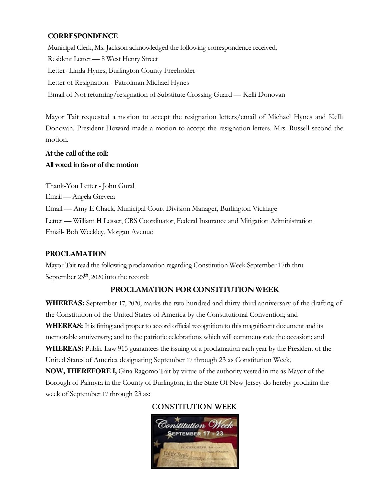## **CORRESPONDENCE**

Municipal Clerk, Ms. Jackson acknowledged the following correspondence received; Resident Letter — 8 West Henry Street Letter- Linda Hynes, Burlington County Freeholder Letter of Resignation - Patrolman Michael Hynes Email of Not returning/resignation of Substitute Crossing Guard — Kelli Donovan

Mayor Tait requested a motion to accept the resignation letters/email of Michael Hynes and Kelli Donovan. President Howard made a motion to accept the resignation letters. Mrs. Russell second the motion.

## **At the call of the roll: All voted in favor of the motion**

Thank-You Letter - John Gural Email — Angela Grevera Email — Amy E Chack, Municipal Court Division Manager, Burlington Vicinage Letter — William **H** Lesser, CRS Coordinator, Federal Insurance and Mitigation Administration Email- Bob Weekley, Morgan Avenue

## **PROCLAMATION**

Mayor Tait read the following proclamation regarding Constitution Week September 17th thru September 23<sup>th</sup>, 2020 into the record:

## **PROCLAMATION FOR CONSTITUTION WEEK**

**WHEREAS:** September 17, 2020, marks the two hundred and thirty-third anniversary of the drafting of the Constitution of the United States of America by the Constitutional Convention; and **WHEREAS:** It is fitting and proper to accord official recognition to this magnificent document and its memorable anniversary; and to the patriotic celebrations which will commemorate the occasion; and **WHEREAS:** Public Law 915 guarantees the issuing of a proclamation each year by the President of the United States of America designating September 17 through 23 as Constitution Week, **NOW, THEREFORE I,** Gina Ragomo Tait by virtue of the authority vested in me as Mayor of the Borough of Palmyra in the County of Burlington, in the State Of New Jersey do hereby proclaim the

week of September 17 through 23 as:

## CONSTITUTION WEEK

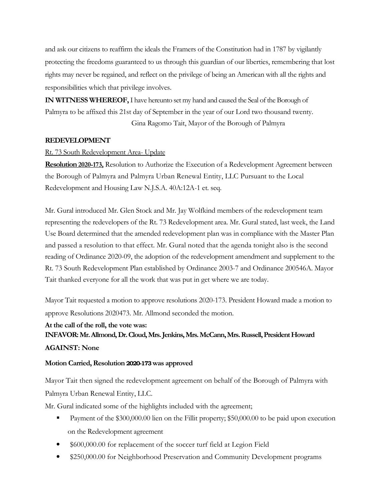and ask our citizens to reaffirm the ideals the Framers of the Constitution had in 1787 by vigilantly protecting the freedoms guaranteed to us through this guardian of our liberties, remembering that lost rights may never be regained, and reflect on the privilege of being an American with all the rights and responsibilities which that privilege involves.

**IN WITNESS WHEREOF,** I have hereunto set my hand and caused the Seal of the Borough of Palmyra to be affixed this 21st day of September in the year of our Lord two thousand twenty. Gina Ragomo Tait, Mayor of the Borough of Palmyra

## **REDEVELOPMENT**

## Rt. 73 South Redevelopment Area- Update

**Resolution 2020-173,** Resolution to Authorize the Execution of a Redevelopment Agreement between the Borough of Palmyra and Palmyra Urban Renewal Entity, LLC Pursuant to the Local Redevelopment and Housing Law N.J.S.A. 40A:12A-1 et. seq.

Mr. Gural introduced Mr. Glen Stock and Mr. Jay Wolfkind members of the redevelopment team representing the redevelopers of the Rt. 73 Redevelopment area. Mr. Gural stated, last week, the Land Use Board determined that the amended redevelopment plan was in compliance with the Master Plan and passed a resolution to that effect. Mr. Gural noted that the agenda tonight also is the second reading of Ordinance 2020-09, the adoption of the redevelopment amendment and supplement to the Rt. 73 South Redevelopment Plan established by Ordinance 2003-7 and Ordinance 200546A. Mayor Tait thanked everyone for all the work that was put in get where we are today.

Mayor Tait requested a motion to approve resolutions 2020-173. President Howard made a motion to approve Resolutions 2020473. Mr. Allmond seconded the motion.

## **At the call of the roll, the vote was: INFAVOR: Mr. Allmond, Dr. Cloud, Mrs. Jenkins, Mrs. McCann, Mrs. Russell, President Howard AGAINST: None**

## **Motion Carried, Resolution 2020-173 was approved**

Mayor Tait then signed the redevelopment agreement on behalf of the Borough of Palmyra with Palmyra Urban Renewal Entity, LLC.

Mr. Gural indicated some of the highlights included with the agreement;

- Payment of the \$300,000.00 lien on the Fillit property; \$50,000.00 to be paid upon execution on the Redevelopment agreement
- \$600,000.00 for replacement of the soccer turf field at Legion Field
- \$250,000.00 for Neighborhood Preservation and Community Development programs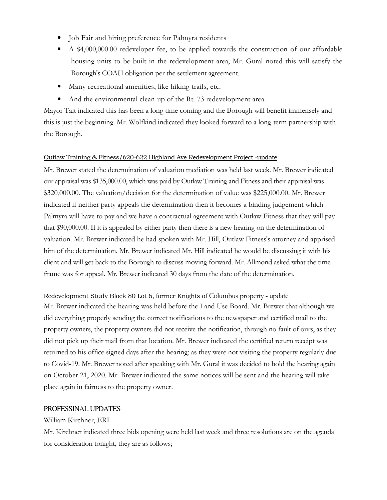- Job Fair and hiring preference for Palmyra residents
- A \$4,000,000.00 redeveloper fee, to be applied towards the construction of our affordable housing units to be built in the redevelopment area, Mr. Gural noted this will satisfy the Borough's COAH obligation per the settlement agreement.
- Many recreational amenities, like hiking trails, etc.
- And the environmental clean-up of the Rt. 73 redevelopment area.

Mayor Tait indicated this has been a long time coming and the Borough will benefit immensely and this is just the beginning. Mr. Wolfkind indicated they looked forward to a long-term partnership with the Borough.

#### Outlaw Training & Fitness/620-622 Highland Ave Redevelopment Project -update

Mr. Brewer stated the determination of valuation mediation was held last week. Mr. Brewer indicated our appraisal was \$135,000.00, which was paid by Outlaw Training and Fitness and their appraisal was \$320,000.00. The valuation/decision for the determination of value was \$225,000.00. Mr. Brewer indicated if neither party appeals the determination then it becomes a binding judgement which Palmyra will have to pay and we have a contractual agreement with Outlaw Fitness that they will pay that \$90,000.00. If it is appealed by either party then there is a new hearing on the determination of valuation. Mr. Brewer indicated he had spoken with Mr. Hill, Outlaw Fitness's attorney and apprised him of the determination. Mr. Brewer indicated Mr. Hill indicated he would be discussing it with his client and will get back to the Borough to discuss moving forward. Mr. Allmond asked what the time frame was for appeal. Mr. Brewer indicated 30 days from the date of the determination.

#### Redevelopment Study Block 80 Lot 6, former Knights of Columbus property - update

Mr. Brewer indicated the hearing was held before the Land Use Board. Mr. Brewer that although we did everything properly sending the correct notifications to the newspaper and certified mail to the property owners, the property owners did not receive the notification, through no fault of ours, as they did not pick up their mail from that location. Mr. Brewer indicated the certified return receipt was returned to his office signed days after the hearing; as they were not visiting the property regularly due to Covid-19. Mr. Brewer noted after speaking with Mr. Gural it was decided to hold the hearing again on October 21, 2020. Mr. Brewer indicated the same notices will be sent and the hearing will take place again in fairness to the property owner.

#### PROFESSINAL UPDATES

### William Kirchner, ERI

Mr. Kirchner indicated three bids opening were held last week and three resolutions are on the agenda for consideration tonight, they are as follows;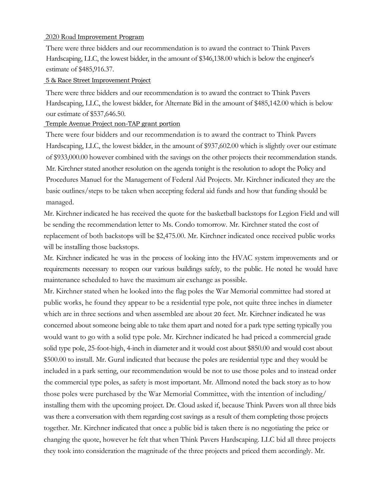#### 2020 Road Improvement Program

There were three bidders and our recommendation is to award the contract to Think Pavers Hardscaping, LLC, the lowest bidder, in the amount of \$346,138.00 which is below the engineer's estimate of \$485,916.37.

#### 5 & Race Street Improvement Project

There were three bidders and our recommendation is to award the contract to Think Pavers Hardscaping, LLC, the lowest bidder, for Alternate Bid in the amount of \$485,142.00 which is below our estimate of \$537,646.50.

#### Temple Avenue Project non-TAP grant portion

There were four bidders and our recommendation is to award the contract to Think Pavers Hardscaping, LLC, the lowest bidder, in the amount of \$937,602.00 which is slightly over our estimate of \$933,000.00 however combined with the savings on the other projects their recommendation stands. Mr. Kirchner stated another resolution on the agenda tonight is the resolution to adopt the Policy and Procedures Manuel for the Management of Federal Aid Projects. Mr. Kirchner indicated they are the basic outlines/steps to be taken when accepting federal aid funds and how that funding should be managed.

Mr. Kirchner indicated he has received the quote for the basketball backstops for Legion Field and will be sending the recommendation letter to Ms. Condo tomorrow. Mr. Kirchner stated the cost of replacement of both backstops will be \$2,475.00. Mr. Kirchner indicated once received public works will be installing those backstops.

Mr. Kirchner indicated he was in the process of looking into the HVAC system improvements and or requirements necessary to reopen our various buildings safely, to the public. He noted he would have maintenance scheduled to have the maximum air exchange as possible.

Mr. Kirchner stated when he looked into the flag poles the War Memorial committee had stored at public works, he found they appear to be a residential type pole, not quite three inches in diameter which are in three sections and when assembled are about 20 feet. Mr. Kirchner indicated he was concerned about someone being able to take them apart and noted for a park type setting typically you would want to go with a solid type pole. Mr. Kirchner indicated he had priced a commercial grade solid type pole, 25-foot-high, 4-inch in diameter and it would cost about \$850.00 and would cost about \$500.00 to install. Mr. Gural indicated that because the poles are residential type and they would be included in a park setting, our recommendation would be not to use those poles and to instead order the commercial type poles, as safety is most important. Mr. Allmond noted the back story as to how those poles were purchased by the War Memorial Committee, with the intention of including/ installing them with the upcoming project. Dr. Cloud asked if, because Think Pavers won all three bids was there a conversation with them regarding cost savings as a result of them completing those projects together. Mr. Kirchner indicated that once a public bid is taken there is no negotiating the price or changing the quote, however he felt that when Think Pavers Hardscaping. LLC bid all three projects they took into consideration the magnitude of the three projects and priced them accordingly. Mr.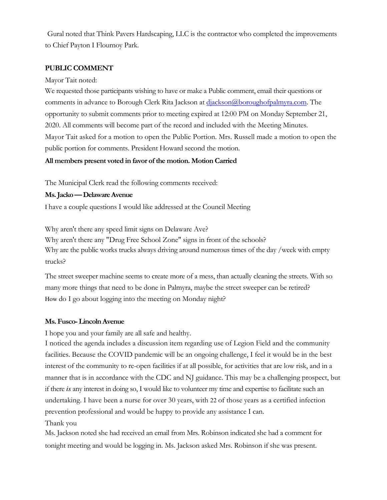Gural noted that Think Pavers Hardscaping, LLC is the contractor who completed the improvements to Chief Payton I Flournoy Park.

### **PUBLIC COMMENT**

#### Mayor Tait noted:

We requested those participants wishing to have or make a Public comment, email their questions or comments in advance to Borough Clerk Rita Jackson at diackson@boroughofpalmyra.com. The opportunity to submit comments prior to meeting expired at 12:00 PM on Monday September 21, 2020. All comments will become part of the record and included with the Meeting Minutes. Mayor Tait asked for a motion to open the Public Portion. Mrs. Russell made a motion to open the public portion for comments. President Howard second the motion.

### **All members present voted in favor of the motion. Motion Carried**

The Municipal Clerk read the following comments received:

#### **Ms. Jacko — Delaware Avenue**

I have a couple questions I would like addressed at the Council Meeting

Why aren't there any speed limit signs on Delaware Ave? Why aren't there any "Drug Free School Zone" signs in front of the schools? Why are the public works trucks always driving around numerous times of the day /week with empty trucks?

The street sweeper machine seems to create more of a mess, than actually cleaning the streets. With so many more things that need to be done in Palmyra, maybe the street sweeper can be retired? How do I go about logging into the meeting on Monday night?

#### **Ms. Fusco- Lincoln Avenue**

I hope you and your family are all safe and healthy.

I noticed the agenda includes a discussion item regarding use of Legion Field and the community facilities. Because the COVID pandemic will be an ongoing challenge, I feel it would be in the best interest of the community to re-open facilities if at all possible, for activities that are low risk, and in a manner that is in accordance with the CDC and NJ guidance. This may be a challenging prospect, but if there *is* any interest in doing so, I would like to volunteer my time and expertise to facilitate such an undertaking. I have been a nurse for over 30 years, with 22 of those years as a certified infection prevention professional and would be happy to provide any assistance I can.

#### Thank you

Ms. Jackson noted she had received an email from Mrs. Robinson indicated she had a comment for tonight meeting and would be logging in. Ms. Jackson asked Mrs. Robinson if she was present.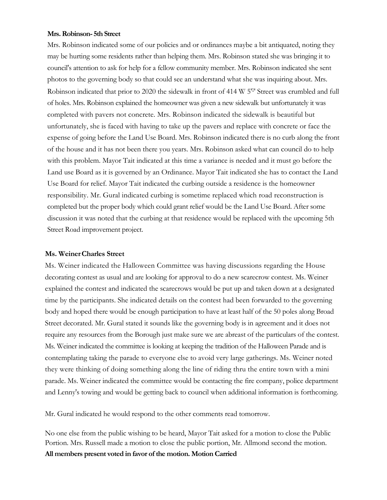#### **Mrs. Robinson- 5th Street**

Mrs. Robinson indicated some of our policies and or ordinances maybe a bit antiquated, noting they may be hurting some residents rather than helping them. Mrs. Robinson stated she was bringing it to council's attention to ask for help for a fellow community member. Mrs. Robinson indicated she sent photos to the governing body so that could see an understand what she was inquiring about. Mrs. Robinson indicated that prior to 2020 the sidewalk in front of 414 W 5'1' Street was crumbled and full of holes. Mrs. Robinson explained the homeowner was given a new sidewalk but unfortunately it was completed with pavers not concrete. Mrs. Robinson indicated the sidewalk is beautiful but unfortunately, she is faced with having to take up the pavers and replace with concrete or face the expense of going before the Land Use Board. Mrs. Robinson indicated there is no curb along the front of the house and it has not been there you years. Mrs. Robinson asked what can council do to help with this problem. Mayor Tait indicated at this time a variance is needed and it must go before the Land use Board as it is governed by an Ordinance. Mayor Tait indicated she has to contact the Land Use Board for relief. Mayor Tait indicated the curbing outside a residence is the homeowner responsibility. Mr. Gural indicated curbing is sometime replaced which road reconstruction is completed but the proper body which could grant relief would be the Land Use Board. After some discussion it was noted that the curbing at that residence would be replaced with the upcoming 5th Street Road improvement project.

#### **Ms. Weiner- Charles Street**

Ms. Weiner indicated the Halloween Committee was having discussions regarding the House decorating contest as usual and are looking for approval to do a new scarecrow contest. Ms. Weiner explained the contest and indicated the scarecrows would be put up and taken down at a designated time by the participants. She indicated details on the contest had been forwarded to the governing body and hoped there would be enough participation to have at least half of the 50 poles along Broad Street decorated. Mr. Gural stated it sounds like the governing body is in agreement and it does not require any resources from the Borough just make sure we are abreast of the particulars of the contest. Ms. Weiner indicated the committee is looking at keeping the tradition of the Halloween Parade and is contemplating taking the parade to everyone else to avoid very large gatherings. Ms. Weiner noted they were thinking of doing something along the line of riding thru the entire town with a mini parade. Ms. Weiner indicated the committee would be contacting the fire company, police department and Lenny's towing and would be getting back to council when additional information is forthcoming.

Mr. Gural indicated he would respond to the other comments read tomorrow.

No one else from the public wishing to be heard, Mayor Tait asked for a motion to close the Public Portion. Mrs. Russell made a motion to close the public portion, Mr. Allmond second the motion. **All members present voted in favor of the motion. Motion Carried**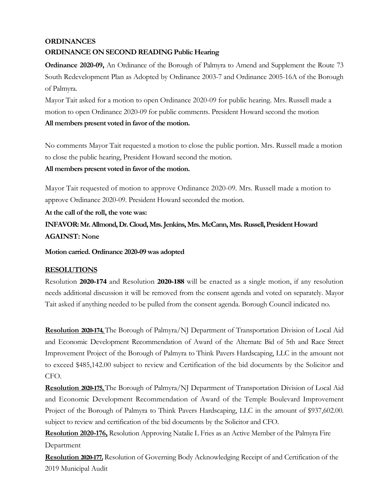## **ORDINANCES ORDINANCE ON SECOND READING Public Hearing**

**Ordinance 2020-09,** An Ordinance of the Borough of Palmyra to Amend and Supplement the Route 73 South Redevelopment Plan as Adopted by Ordinance 2003-7 and Ordinance 2005-16A of the Borough of Palmyra.

Mayor Tait asked for a motion to open Ordinance 2020-09 for public hearing. Mrs. Russell made a motion to open Ordinance 2020-09 for public comments. President Howard second the motion **All members present voted in favor of the motion.** 

No comments Mayor Tait requested a motion to close the public portion. Mrs. Russell made a motion to close the public hearing, President Howard second the motion.

## **All members present voted in favor of the motion.**

Mayor Tait requested of motion to approve Ordinance 2020-09. Mrs. Russell made a motion to approve Ordinance 2020-09. President Howard seconded the motion.

**At the call of the roll, the vote was:** 

**INFAVOR: Mr. Allmond, Dr. Cloud, Mrs. Jenkins, Mrs. McCann, Mrs. Russell, President Howard AGAINST: None** 

**Motion carried. Ordinance 2020-09 was adopted** 

## **RESOLUTIONS**

Resolution **2020-174** and Resolution **2020-188** will be enacted as a single motion, if any resolution needs additional discussion it will be removed from the consent agenda and voted on separately. Mayor Tait asked if anything needed to be pulled from the consent agenda. Borough Council indicated no.

**Resolution 2020-174,** The Borough of Palmyra/NJ Department of Transportation Division of Local Aid and Economic Development Recommendation of Award of the Alternate Bid of 5th and Race Street Improvement Project of the Borough of Palmyra to Think Pavers Hardscaping, LLC in the amount not to exceed \$485,142.00 subject to review and Certification of the bid documents by the Solicitor and CFO.

**Resolution 2020-175,** The Borough of Palmyra/NJ Department of Transportation Division of Local Aid and Economic Development Recommendation of Award of the Temple Boulevard Improvement Project of the Borough of Palmyra to Think Pavers Hardscaping, LLC in the amount of \$937,602.00. subject to review and certification of the bid documents by the Solicitor and CFO.

**Resolution 2020-176,** Resolution Approving Natalie L Fries as an Active Member of the Palmyra Fire Department

**Resolution 2020-177,** Resolution of Governing Body Acknowledging Receipt of and Certification of the 2019 Municipal Audit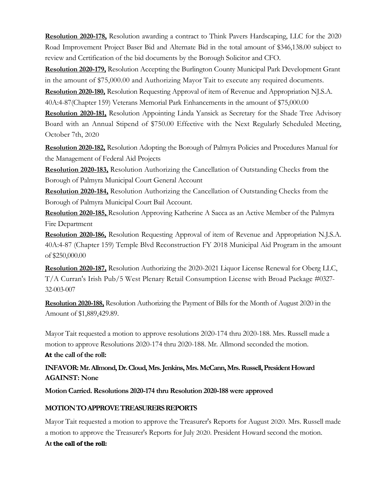**Resolution 2020-178,** Resolution awarding a contract to Think Pavers Hardscaping, LLC for the 2020 Road Improvement Project Baser Bid and Alternate Bid in the total amount of \$346,138.00 subject to review and Certification of the bid documents by the Borough Solicitor and CFO.

**Resolution 2020-179,** Resolution Accepting the Burlington County Municipal Park Development Grant in the amount of \$75,000.00 and Authorizing Mayor Tait to execute any required documents.

**Resolution 2020-180,** Resolution Requesting Approval of item of Revenue and Appropriation NJ.S.A.

40A:4-87(Chapter 159) Veterans Memorial Park Enhancements in the amount of \$75,000.00

**Resolution 2020-181,** Resolution Appointing Linda Yansick as Secretary for the Shade Tree Advisory Board with an Annual Stipend of \$750.00 Effective with the Next Regularly Scheduled Meeting, October 7th, 2020

**Resolution 2020-182,** Resolution Adopting the Borough of Palmyra Policies and Procedures Manual for the Management of Federal Aid Projects

**Resolution 2020-183,** Resolution Authorizing the Cancellation of Outstanding Checks from the Borough of Palmyra Municipal Court General Account

**Resolution 2020-184,** Resolution Authorizing the Cancellation of Outstanding Checks from the Borough of Palmyra Municipal Court Bail Account.

**Resolution 2020-185,** Resolution Approving Katherine A Sacca as an Active Member of the Palmyra Fire Department

**Resolution 2020-186,** Resolution Requesting Approval of item of Revenue and Appropriation N.J.S.A. 40A:4-87 (Chapter 159) Temple Blvd Reconstruction FY 2018 Municipal Aid Program in the amount of \$250,000.00

**Resolution 2020-187,** Resolution Authorizing the 2020-2021 Liquor License Renewal for Oberg LLC, T/A Curran's Irish Pub/5 West Plenary Retail Consumption License with Broad Package #0327- 32-003-007

**Resolution 2020-188,** Resolution Authorizing the Payment of Bills for the Month of August 2020 in the Amount of \$1,889,429.89.

Mayor Tait requested a motion to approve resolutions 2020-174 thru 2020-188. Mrs. Russell made a motion to approve Resolutions 2020-174 thru 2020-188. Mr. Allmond seconded the motion. **At the call of the roll:** 

## **INFAVOR: Mr. Allmond, Dr. Cloud, Mrs. Jenkins, Mrs. McCann, Mrs. Russell, President Howard AGAINST: None**

**Motion Carried. Resolutions 2020-174 thru Resolution 2020-188 were approved** 

## **MOTION TO APPROVE TREASURERS REPORTS**

Mayor Tait requested a motion to approve the Treasurer's Reports for August 2020. Mrs. Russell made a motion to approve the Treasurer's Reports for July 2020. President Howard second the motion.

## **At the call of the roll:**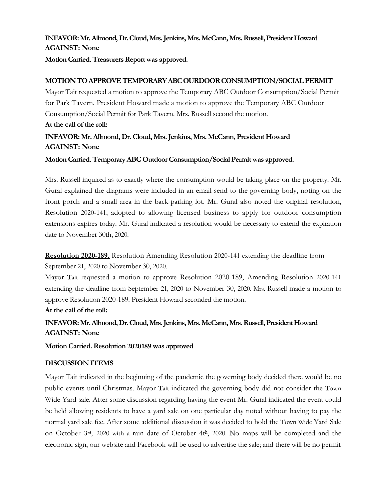## **INFAVOR: Mr. Allmond, Dr. Cloud, Mrs. Jenkins, Mrs. McCann, Mrs. Russell, President Howard AGAINST: None**

**Motion Carried. Treasurers Report was approved.** 

## **MOTION TO APPROVE TEMPORARY ABC OURDOOR CONSUMPTION/SOCIAL PERMIT**

Mayor Tait requested a motion to approve the Temporary ABC Outdoor Consumption/Social Permit for Park Tavern. President Howard made a motion to approve the Temporary ABC Outdoor Consumption/Social Permit for Park Tavern. Mrs. Russell second the motion. **At the call of the roll:** 

## **INFAVOR: Mr. Allmond, Dr. Cloud, Mrs. Jenkins, Mrs. McCann, President Howard AGAINST: None**

### **Motion Carried. Temporary ABC Outdoor Consumption/Social Permit was approved.**

Mrs. Russell inquired as to exactly where the consumption would be taking place on the property. Mr. Gural explained the diagrams were included in an email send to the governing body, noting on the front porch and a small area in the back-parking lot. Mr. Gural also noted the original resolution, Resolution 2020-141, adopted to allowing licensed business to apply for outdoor consumption extensions expires today. Mr. Gural indicated a resolution would be necessary to extend the expiration date to November 30th, 2020.

**Resolution 2020-189,** Resolution Amending Resolution 2020-141 extending the deadline from September 21, 2020 to November 30, 2020.

Mayor Tait requested a motion to approve Resolution 2020-189, Amending Resolution 2020-141 extending the deadline from September 21, 2020 to November 30, 2020. Mrs. Russell made a motion to approve Resolution 2020-189. President Howard seconded the motion.

**At the call of the roll:** 

## **INFAVOR: Mr. Allmond, Dr. Cloud, Mrs. Jenkins, Mrs. McCann, Mrs. Russell, President Howard AGAINST: None**

**Motion Carried. Resolution 2020-189 was approved** 

### **DISCUSSION ITEMS**

Mayor Tait indicated in the beginning of the pandemic the governing body decided there would be no public events until Christmas. Mayor Tait indicated the governing body did not consider the Town Wide Yard sale. After some discussion regarding having the event Mr. Gural indicated the event could be held allowing residents to have a yard sale on one particular day noted without having to pay the normal yard sale fee. After some additional discussion it was decided to hold the Town Wide Yard Sale on October 3rd, 2020 with a rain date of October 4th, 2020. No maps will be completed and the electronic sign, our website and Facebook will be used to advertise the sale; and there will be no permit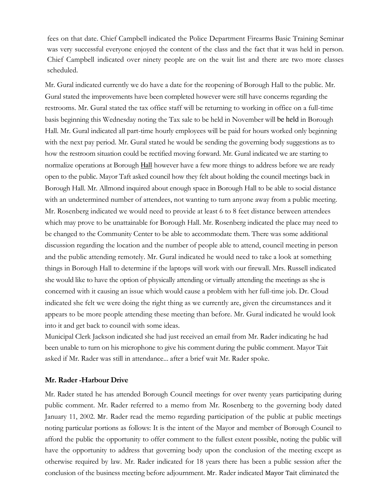fees on that date. Chief Campbell indicated the Police Department Firearms Basic Training Seminar was very successful everyone enjoyed the content of the class and the fact that it was held in person. Chief Campbell indicated over ninety people are on the wait list and there are two more classes scheduled.

Mr. Gural indicated currently we do have a date for the reopening of Borough Hall to the public. Mr. Gural stated the improvements have been completed however were still have concerns regarding the restrooms. Mr. Gural stated the tax office staff will be returning to working in office on a full-time basis beginning this Wednesday noting the Tax sale to be held in November will be held in Borough Hall. Mr. Gural indicated all part-time hourly employees will be paid for hours worked only beginning with the next pay period. Mr. Gural stated he would be sending the governing body suggestions as to how the restroom situation could be rectified moving forward. Mr. Gural indicated we are starting to normalize operations at Borough **Hall** however have a few more things to address before we are ready open to the public. Mayor Taft asked council how they felt about holding the council meetings back in Borough Hall. Mr. Allmond inquired about enough space in Borough Hall to be able to social distance with an undetermined number of attendees, not wanting to turn anyone away from a public meeting. Mr. Rosenberg indicated we would need to provide at least 6 to 8 feet distance between attendees which may prove to be unattainable for Borough Hall. Mr. Rosenberg indicated the place may need to be changed to the Community Center to be able to accommodate them. There was some additional discussion regarding the location and the number of people able to attend, council meeting in person and the public attending remotely. Mr. Gural indicated he would need to take a look at something things in Borough Hall to determine if the laptops will work with our firewall. Mrs. Russell indicated she would like to have the option of physically attending or virtually attending the meetings as she is concerned with it causing an issue which would cause a problem with her full-time job. Dr. Cloud indicated she felt we were doing the right thing as we currently are, given the circumstances and it appears to be more people attending these meeting than before. Mr. Gural indicated he would look into it and get back to council with some ideas.

Municipal Clerk Jackson indicated she had just received an email from Mr. Rader indicating he had been unable to turn on his microphone to give his comment during the public comment. Mayor Tait asked if Mr. Rader was still in attendance... after a brief wait Mr. Rader spoke.

#### **Mr. Rader -Harbour Drive**

Mr. Rader stated he has attended Borough Council meetings for over twenty years participating during public comment. Mr. Rader referred to a memo from Mr. Rosenberg to the governing body dated January 11, 2002. Mr. Rader read the memo regarding participation of the public at public meetings noting particular portions as follows: It is the intent of the Mayor and member of Borough Council to afford the public the opportunity to offer comment to the fullest extent possible, noting the public will have the opportunity to address that governing body upon the conclusion of the meeting except as otherwise required by law. Mr. Rader indicated for 18 years there has been a public session after the conclusion of the business meeting before adjournment. Mr. Rader indicated Mayor Tait eliminated the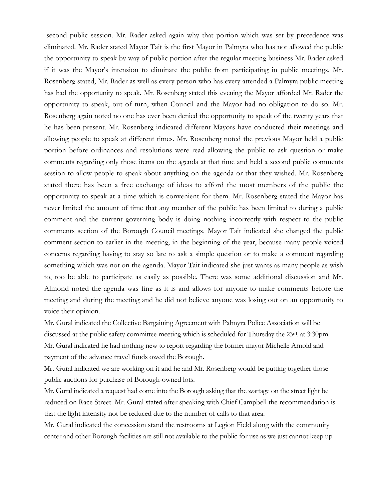second public session. Mr. Rader asked again why that portion which was set by precedence was eliminated. Mr. Rader stated Mayor Tait is the first Mayor in Palmyra who has not allowed the public the opportunity to speak by way of public portion after the regular meeting business Mr. Rader asked if it was the Mayor's intension to eliminate the public from participating in public meetings. Mr. Rosenberg stated, Mr. Rader as well as every person who has every attended a Palmyra public meeting has had the opportunity to speak. Mr. Rosenberg stated this evening the Mayor afforded Mr. Rader the opportunity to speak, out of turn, when Council and the Mayor had no obligation to do so. Mr. Rosenberg again noted no one has ever been denied the opportunity to speak of the twenty years that he has been present. Mr. Rosenberg indicated different Mayors have conducted their meetings and allowing people to speak at different times. Mr. Rosenberg noted the previous Mayor held a public portion before ordinances and resolutions were read allowing the public to ask question or make comments regarding only those items on the agenda at that time and held a second public comments session to allow people to speak about anything on the agenda or that they wished. Mr. Rosenberg stated there has been a free exchange of ideas to afford the most members of the public the opportunity to speak at a time which is convenient for them. Mr. Rosenberg stated the Mayor has never limited the amount of time that any member of the public has been limited to during a public comment and the current governing body is doing nothing incorrectly with respect to the public comments section of the Borough Council meetings. Mayor Tait indicated she changed the public comment section to earlier in the meeting, in the beginning of the year, because many people voiced concerns regarding having to stay so late to ask a simple question or to make a comment regarding something which was not on the agenda. Mayor Tait indicated she just wants as many people as wish to, too be able to participate as easily as possible. There was some additional discussion and Mr. Almond noted the agenda was fine as it is and allows for anyone to make comments before the meeting and during the meeting and he did not believe anyone was losing out on an opportunity to voice their opinion.

Mr. Gural indicated the Collective Bargaining Agreement with Palmyra Police Association will be discussed at the public safety committee meeting which is scheduled for Thursday the 23rd. at 3:30pm. Mr. Gural indicated he had nothing new to report regarding the former mayor Michelle Arnold and payment of the advance travel funds owed the Borough.

Mr. Gural indicated we are working on it and he and Mr. Rosenberg would be putting together those public auctions for purchase of Borough-owned lots.

Mr. Gural indicated a request had come into the Borough asking that the wattage on the street light be reduced on Race Street. Mr. Gural stated after speaking with Chief Campbell the recommendation is that the light intensity not be reduced due to the number of calls to that area.

Mr. Gural indicated the concession stand the restrooms at Legion Field along with the community center and other Borough facilities are still not available to the public for use as we just cannot keep up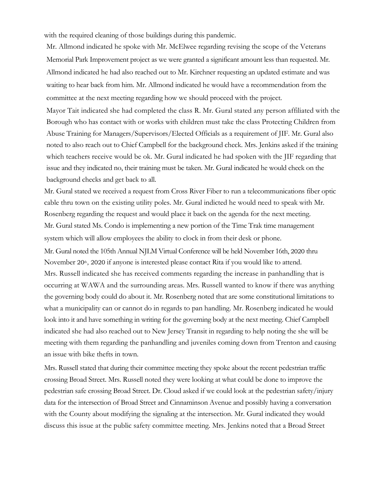with the required cleaning of those buildings during this pandemic.

Mr. Allmond indicated he spoke with Mr. McElwee regarding revising the scope of the Veterans Memorial Park Improvement project as we were granted a significant amount less than requested. Mr. Allmond indicated he had also reached out to Mr. Kirchner requesting an updated estimate and was waiting to hear back from him. Mr. Allmond indicated he would have a recommendation from the committee at the next meeting regarding how we should proceed with the project.

Mayor Tait indicated she had completed the class R. Mr. Gural stated any person affiliated with the Borough who has contact with or works with children must take the class Protecting Children from Abuse Training for Managers/Supervisors/Elected Officials as a requirement of JIF. Mr. Gural also noted to also reach out to Chief Campbell for the background check. Mrs. Jenkins asked if the training which teachers receive would be ok. Mr. Gural indicated he had spoken with the JIF regarding that issue and they indicated no, their training must be taken. Mr. Gural indicated he would check on the background checks and get back to all.

Mr. Gural stated we received a request from Cross River Fiber to run a telecommunications fiber optic cable thru town on the existing utility poles. Mr. Gural indicted he would need to speak with Mr. Rosenberg regarding the request and would place it back on the agenda for the next meeting. Mr. Gural stated Ms. Condo is implementing a new portion of the Time Trak time management system which will allow employees the ability to clock in from their desk or phone. Mr. Gural noted the 105th Annual NJLM Virtual Conference will be held November 16th, 2020 thru November 20<sup>th</sup>, 2020 if anyone is interested please contact Rita if you would like to attend. Mrs. Russell indicated she has received comments regarding the increase in panhandling that is occurring at WAWA and the surrounding areas. Mrs. Russell wanted to know if there was anything the governing body could do about it. Mr. Rosenberg noted that are some constitutional limitations to what a municipality can or cannot do in regards to pan handling. Mr. Rosenberg indicated he would look into it and have something in writing for the governing body at the next meeting. Chief Campbell indicated she had also reached out to New Jersey Transit in regarding to help noting the she will be meeting with them regarding the panhandling and juveniles coming down from Trenton and causing an issue with bike thefts in town.

Mrs. Russell stated that during their committee meeting they spoke about the recent pedestrian traffic crossing Broad Street. Mrs. Russell noted they were looking at what could be done to improve the pedestrian safe crossing Broad Street. Dr. Cloud asked if we could look at the pedestrian safety/injury data for the intersection of Broad Street and Cinnaminson Avenue and possibly having a conversation with the County about modifying the signaling at the intersection. Mr. Gural indicated they would discuss this issue at the public safety committee meeting. Mrs. Jenkins noted that a Broad Street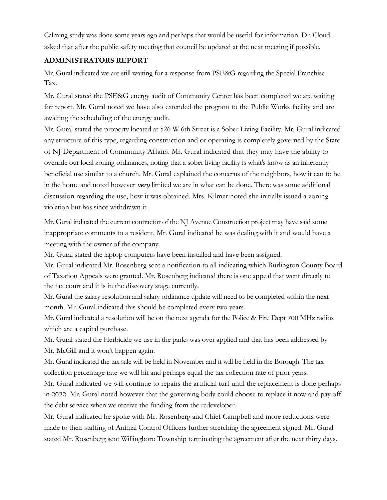Calming study was done some years ago and perhaps that would be useful for information. Dr. Cloud asked that after the public safety meeting that council be updated at the next meeting if possible.

## **ADMINISTRATORS REPORT**

Mr. Gural indicated we are still waiting for a response from PSE&G regarding the Special Franchise Tax.

Mr. Gural stated the PSE&G energy audit of Community Center has been completed we are waiting for report. Mr. Gural noted we have also extended the program to the Public Works facility and are awaiting the scheduling of the energy audit.

Mr. Gural stated the property located at 526 W 6th Street is a Sober Living Facility. Mr. Gural indicated any structure of this type, regarding construction and or operating is completely governed by the State of NJ Department of Community Affairs. Mr. Gural indicated that they may have the ability to override our local zoning ordinances, noting that a sober living facility is what's know as an inherently beneficial use similar to a church. Mr. Gural explained the concerns of the neighbors, how it can to be in the home and noted however *very* limited we are in what can be done. There was some additional discussion regarding the use, how it was obtained. Mrs. Kilmer noted she initially issued a zoning violation but has since withdrawn it.

Mr. Gural indicated the current contractor of the NJ Avenue Construction project may have said some inappropriate comments to a resident. Mr. Gural indicated he was dealing with it and would have a meeting with the owner of the company.

Mr. Gural stated the laptop computers have been installed and have been assigned.

Mr. Gural indicated Mr. Rosenberg sent a notification to all indicating which Burlington County Board of Taxation Appeals were granted. Mr. Rosenberg indicated there is one appeal that went directly to the tax court and it is in the discovery stage currently.

Mr. Gural the salary resolution and salary ordinance update will need to be completed within the next month. Mr. Gural indicated this should be completed every two years.

Mr. Gural indicated a resolution will be on the next agenda for the Police & Fire Dept 700 MHz radios which are a capital purchase.

Mr. Gural stated the Herbicide we use in the parks was over applied and that has been addressed by Mr. McGill and it won't happen again.

Mr. Gural indicated the tax sale will be held in November and it will be held in the Borough. The tax collection percentage rate we will hit and perhaps equal the tax collection rate of prior years.

Mr. Gural indicated we will continue to repairs the artificial turf until the replacement is done perhaps in 2022. Mr. Gural noted however that the governing body could choose to replace it now and pay off the debt service when we receive the funding from the redeveloper.

Mr. Gural indicated he spoke with Mr. Rosenberg and Chief Campbell and more reductions were made to their staffing of Animal Control Officers further stretching the agreement signed. Mr. Gural stated Mr. Rosenberg sent Willingboro Township terminating the agreement after the next thirty days.